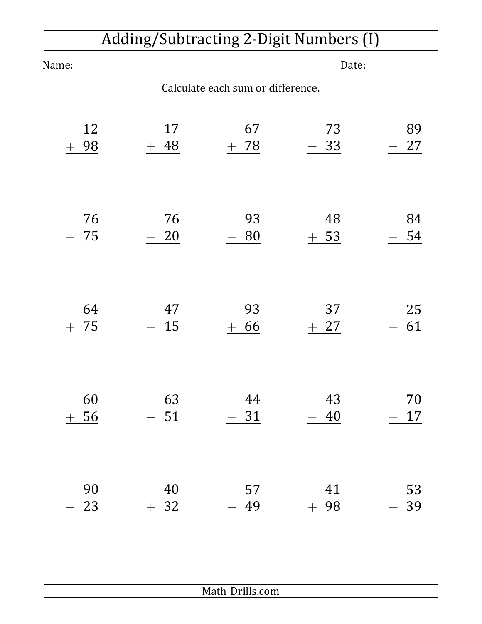## Adding/Subtracting 2-Digit Numbers (I)

| Name:                        |                                   | Date:              |                 |                                |  |
|------------------------------|-----------------------------------|--------------------|-----------------|--------------------------------|--|
|                              | Calculate each sum or difference. |                    |                 |                                |  |
| 12<br>98<br>$\pm$            | 17<br>48<br>$^{+}$                | 67<br>78<br>$+$    | 73<br>$-33$     | 89<br>27                       |  |
| 76<br>75                     | 76<br>20                          | 93<br>80           | 48<br>53<br>$+$ | 84<br>54                       |  |
| 64<br>75<br>$\pm$            | 47<br>15                          | 93<br>66<br>$^{+}$ | 37<br>27        | 25<br>61<br>$\hspace{0.1mm} +$ |  |
| 60<br>56<br>$\boldsymbol{+}$ | 63<br>$-51$                       | 44<br>$-31$        | 43<br>40        | 70<br>$+17$                    |  |
| 90<br>23                     | 40<br>32<br>$+$                   | 57<br>49           | 41<br>98        | 53<br>39                       |  |